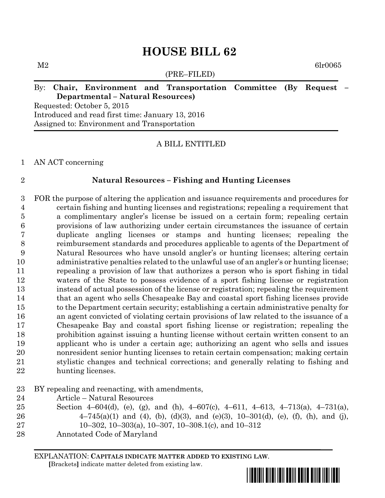(PRE–FILED)

 $M2$  6lr0065

# By: **Chair, Environment and Transportation Committee (By Request – Departmental – Natural Resources)**

Requested: October 5, 2015 Introduced and read first time: January 13, 2016 Assigned to: Environment and Transportation

# A BILL ENTITLED

AN ACT concerning

## **Natural Resources – Fishing and Hunting Licenses**

 FOR the purpose of altering the application and issuance requirements and procedures for certain fishing and hunting licenses and registrations; repealing a requirement that a complimentary angler's license be issued on a certain form; repealing certain provisions of law authorizing under certain circumstances the issuance of certain duplicate angling licenses or stamps and hunting licenses; repealing the reimbursement standards and procedures applicable to agents of the Department of Natural Resources who have unsold angler's or hunting licenses; altering certain administrative penalties related to the unlawful use of an angler's or hunting license; repealing a provision of law that authorizes a person who is sport fishing in tidal waters of the State to possess evidence of a sport fishing license or registration instead of actual possession of the license or registration; repealing the requirement that an agent who sells Chesapeake Bay and coastal sport fishing licenses provide to the Department certain security; establishing a certain administrative penalty for an agent convicted of violating certain provisions of law related to the issuance of a Chesapeake Bay and coastal sport fishing license or registration; repealing the prohibition against issuing a hunting license without certain written consent to an applicant who is under a certain age; authorizing an agent who sells and issues nonresident senior hunting licenses to retain certain compensation; making certain stylistic changes and technical corrections; and generally relating to fishing and hunting licenses.

# BY repealing and reenacting, with amendments,

- Article Natural Resources
- Section 4–604(d), (e), (g), and (h), 4–607(c), 4–611, 4–613, 4–713(a), 4–731(a), 26  $4-745(a)(1)$  and (4), (b), (d)(3), and (e)(3), 10-301(d), (e), (f), (h), and (j),
- 10–302, 10–303(a), 10–307, 10–308.1(c), and 10–312
- Annotated Code of Maryland

EXPLANATION: **CAPITALS INDICATE MATTER ADDED TO EXISTING LAW**.

 **[**Brackets**]** indicate matter deleted from existing law.

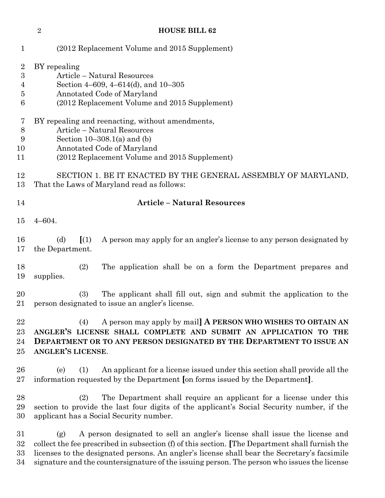|                                    | $\overline{2}$                                                                                                                                                                                                                      | <b>HOUSE BILL 62</b>                                                                                                                                                                                                                                                          |
|------------------------------------|-------------------------------------------------------------------------------------------------------------------------------------------------------------------------------------------------------------------------------------|-------------------------------------------------------------------------------------------------------------------------------------------------------------------------------------------------------------------------------------------------------------------------------|
| $\mathbf{1}$                       |                                                                                                                                                                                                                                     | (2012 Replacement Volume and 2015 Supplement)                                                                                                                                                                                                                                 |
| $\overline{2}$<br>3<br>4<br>5<br>6 | BY repealing<br>Article - Natural Resources<br>Section 4–609, 4–614(d), and 10–305<br>Annotated Code of Maryland<br>(2012 Replacement Volume and 2015 Supplement)                                                                   |                                                                                                                                                                                                                                                                               |
| 7<br>8<br>9<br>10<br>11            | BY repealing and reenacting, without amendments,<br>Article - Natural Resources<br>Section $10-308.1(a)$ and (b)<br>Annotated Code of Maryland<br>(2012 Replacement Volume and 2015 Supplement)                                     |                                                                                                                                                                                                                                                                               |
| 12<br>13                           | SECTION 1. BE IT ENACTED BY THE GENERAL ASSEMBLY OF MARYLAND,<br>That the Laws of Maryland read as follows:                                                                                                                         |                                                                                                                                                                                                                                                                               |
| 14                                 | <b>Article - Natural Resources</b>                                                                                                                                                                                                  |                                                                                                                                                                                                                                                                               |
| 15                                 | $4 - 604.$                                                                                                                                                                                                                          |                                                                                                                                                                                                                                                                               |
| 16<br>17                           | (d)<br>the Department.                                                                                                                                                                                                              | $\left[ \begin{array}{c} 1 \end{array} \right]$<br>A person may apply for an angler's license to any person designated by                                                                                                                                                     |
| 18<br>19                           | supplies.                                                                                                                                                                                                                           | (2)<br>The application shall be on a form the Department prepares and                                                                                                                                                                                                         |
| 20<br>21                           |                                                                                                                                                                                                                                     | The applicant shall fill out, sign and submit the application to the<br>(3)<br>person designated to issue an angler's license.                                                                                                                                                |
| 22<br>$23\,$<br>24<br>$25\,$       | A person may apply by mail A PERSON WHO WISHES TO OBTAIN AN<br>(4)<br>ANGLER'S LICENSE SHALL COMPLETE AND SUBMIT AN APPLICATION TO THE<br>DEPARTMENT OR TO ANY PERSON DESIGNATED BY THE DEPARTMENT TO ISSUE AN<br>ANGLER'S LICENSE. |                                                                                                                                                                                                                                                                               |
| 26<br>$27\,$                       | (e)                                                                                                                                                                                                                                 | An applicant for a license issued under this section shall provide all the<br>(1)<br>information requested by the Department [on forms issued by the Department].                                                                                                             |
| 28<br>29<br>30                     |                                                                                                                                                                                                                                     | The Department shall require an applicant for a license under this<br>(2)<br>section to provide the last four digits of the applicant's Social Security number, if the<br>applicant has a Social Security number.                                                             |
| $31\,$<br>$32\,$<br>$33\,$         | (g)                                                                                                                                                                                                                                 | A person designated to sell an angler's license shall issue the license and<br>collect the fee prescribed in subsection (f) of this section. The Department shall furnish the<br>licenses to the designated persons. An angler's license shall bear the Secretary's facsimile |

signature and the countersignature of the issuing person. The person who issues the license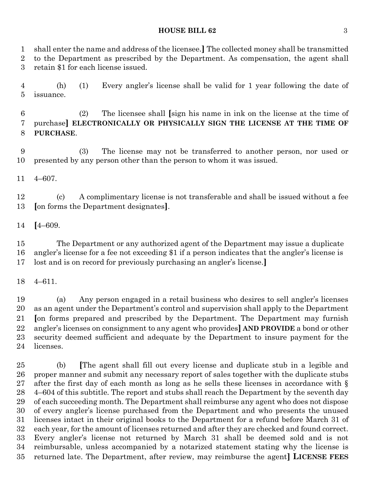shall enter the name and address of the licensee.**]** The collected money shall be transmitted to the Department as prescribed by the Department. As compensation, the agent shall retain \$1 for each license issued.

 (h) (1) Every angler's license shall be valid for 1 year following the date of issuance.

 (2) The licensee shall **[**sign his name in ink on the license at the time of purchase**] ELECTRONICALLY OR PHYSICALLY SIGN THE LICENSE AT THE TIME OF PURCHASE**.

 (3) The license may not be transferred to another person, nor used or presented by any person other than the person to whom it was issued.

4–607.

 (c) A complimentary license is not transferable and shall be issued without a fee **[**on forms the Department designates**]**.

**[**4–609.

 The Department or any authorized agent of the Department may issue a duplicate angler's license for a fee not exceeding \$1 if a person indicates that the angler's license is lost and is on record for previously purchasing an angler's license.**]**

4–611.

 (a) Any person engaged in a retail business who desires to sell angler's licenses as an agent under the Department's control and supervision shall apply to the Department **[**on forms prepared and prescribed by the Department. The Department may furnish angler's licenses on consignment to any agent who provides**] AND PROVIDE** a bond or other security deemed sufficient and adequate by the Department to insure payment for the licenses.

 (b) **[**The agent shall fill out every license and duplicate stub in a legible and proper manner and submit any necessary report of sales together with the duplicate stubs after the first day of each month as long as he sells these licenses in accordance with § 4–604 of this subtitle. The report and stubs shall reach the Department by the seventh day of each succeeding month. The Department shall reimburse any agent who does not dispose of every angler's license purchased from the Department and who presents the unused licenses intact in their original books to the Department for a refund before March 31 of each year, for the amount of licenses returned and after they are checked and found correct. Every angler's license not returned by March 31 shall be deemed sold and is not reimbursable, unless accompanied by a notarized statement stating why the license is returned late. The Department, after review, may reimburse the agent**] LICENSE FEES**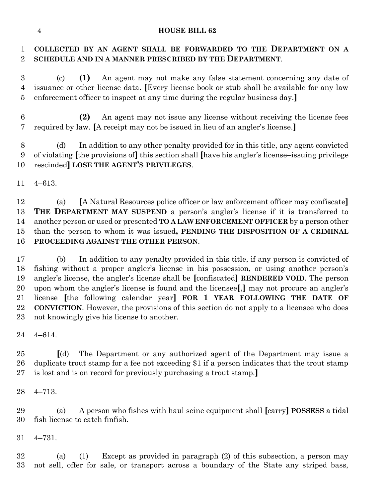# **COLLECTED BY AN AGENT SHALL BE FORWARDED TO THE DEPARTMENT ON A SCHEDULE AND IN A MANNER PRESCRIBED BY THE DEPARTMENT**.

 (c) **(1)** An agent may not make any false statement concerning any date of issuance or other license data. **[**Every license book or stub shall be available for any law enforcement officer to inspect at any time during the regular business day.**]**

 **(2)** An agent may not issue any license without receiving the license fees required by law. **[**A receipt may not be issued in lieu of an angler's license.**]**

 (d) In addition to any other penalty provided for in this title, any agent convicted of violating **[**the provisions of**]** this section shall **[**have his angler's license–issuing privilege rescinded**] LOSE THE AGENT'S PRIVILEGES**.

4–613.

 (a) **[**A Natural Resources police officer or law enforcement officer may confiscate**] THE DEPARTMENT MAY SUSPEND** a person's angler's license if it is transferred to another person or used or presented **TO A LAW ENFORCEMENT OFFICER** by a person other than the person to whom it was issued**, PENDING THE DISPOSITION OF A CRIMINAL PROCEEDING AGAINST THE OTHER PERSON**.

 (b) In addition to any penalty provided in this title, if any person is convicted of fishing without a proper angler's license in his possession, or using another person's angler's license, the angler's license shall be **[**confiscated**] RENDERED VOID**. The person upon whom the angler's license is found and the licensee**[**,**]** may not procure an angler's license **[**the following calendar year**] FOR 1 YEAR FOLLOWING THE DATE OF CONVICTION**. However, the provisions of this section do not apply to a licensee who does not knowingly give his license to another.

4–614.

 **[**(d) The Department or any authorized agent of the Department may issue a duplicate trout stamp for a fee not exceeding \$1 if a person indicates that the trout stamp is lost and is on record for previously purchasing a trout stamp.**]**

4–713.

 (a) A person who fishes with haul seine equipment shall **[**carry**] POSSESS** a tidal fish license to catch finfish.

4–731.

 (a) (1) Except as provided in paragraph (2) of this subsection, a person may not sell, offer for sale, or transport across a boundary of the State any striped bass,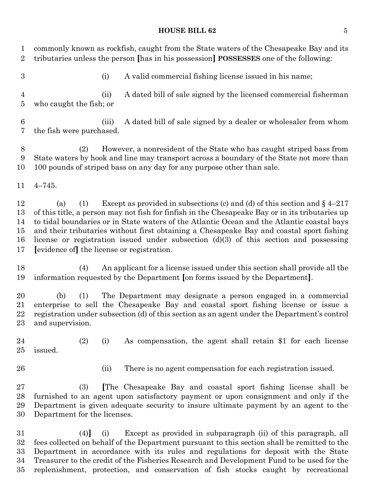commonly known as rockfish, caught from the State waters of the Chesapeake Bay and its tributaries unless the person **[**has in his possession**] POSSESSES** one of the following: (i) A valid commercial fishing license issued in his name; (ii) A dated bill of sale signed by the licensed commercial fisherman who caught the fish; or (iii) A dated bill of sale signed by a dealer or wholesaler from whom the fish were purchased. (2) However, a nonresident of the State who has caught striped bass from State waters by hook and line may transport across a boundary of the State not more than 100 pounds of striped bass on any day for any purpose other than sale. 4–745. 12 (a) (1) Except as provided in subsections (c) and (d) of this section and  $\S$  4–217 of this title, a person may not fish for finfish in the Chesapeake Bay or in its tributaries up to tidal boundaries or in State waters of the Atlantic Ocean and the Atlantic coastal bays and their tributaries without first obtaining a Chesapeake Bay and coastal sport fishing license or registration issued under subsection (d)(3) of this section and possessing **[**evidence of**]** the license or registration. (4) An applicant for a license issued under this section shall provide all the information requested by the Department **[**on forms issued by the Department**]**. (b) (1) The Department may designate a person engaged in a commercial enterprise to sell the Chesapeake Bay and coastal sport fishing license or issue a registration under subsection (d) of this section as an agent under the Department's control and supervision. (2) (i) As compensation, the agent shall retain \$1 for each license issued. 26 (ii) There is no agent compensation for each registration issued. (3) **[**The Chesapeake Bay and coastal sport fishing license shall be furnished to an agent upon satisfactory payment or upon consignment and only if the Department is given adequate security to insure ultimate payment by an agent to the Department for the licenses. (4)**]** (i) Except as provided in subparagraph (ii) of this paragraph, all fees collected on behalf of the Department pursuant to this section shall be remitted to the Department in accordance with its rules and regulations for deposit with the State Treasurer to the credit of the Fisheries Research and Development Fund to be used for the replenishment, protection, and conservation of fish stocks caught by recreational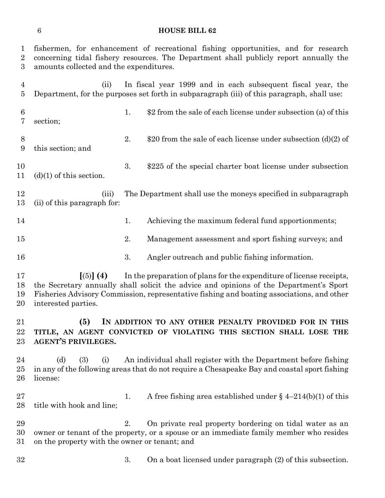fishermen, for enhancement of recreational fishing opportunities, and for research concerning tidal fishery resources. The Department shall publicly report annually the amounts collected and the expenditures.

 (ii) In fiscal year 1999 and in each subsequent fiscal year, the Department, for the purposes set forth in subparagraph (iii) of this paragraph, shall use: 1. \$2 from the sale of each license under subsection (a) of this section; 8 2.  $$20$  from the sale of each license under subsection (d)(2) of this section; and 3. \$225 of the special charter boat license under subsection 11 (d)(1) of this section. (iii) The Department shall use the moneys specified in subparagraph (ii) of this paragraph for: 14 1. Achieving the maximum federal fund apportionments; 2. Management assessment and sport fishing surveys; and 3. Angler outreach and public fishing information.

 **[**(5)**] (4)** In the preparation of plans for the expenditure of license receipts, the Secretary annually shall solicit the advice and opinions of the Department's Sport Fisheries Advisory Commission, representative fishing and boating associations, and other interested parties.

 **(5) IN ADDITION TO ANY OTHER PENALTY PROVIDED FOR IN THIS TITLE, AN AGENT CONVICTED OF VIOLATING THIS SECTION SHALL LOSE THE AGENT'S PRIVILEGES.**

 (d) (3) (i) An individual shall register with the Department before fishing in any of the following areas that do not require a Chesapeake Bay and coastal sport fishing license:

27 1. A free fishing area established under § 4–214(b)(1) of this title with hook and line;

 2. On private real property bordering on tidal water as an owner or tenant of the property, or a spouse or an immediate family member who resides on the property with the owner or tenant; and

3. On a boat licensed under paragraph (2) of this subsection.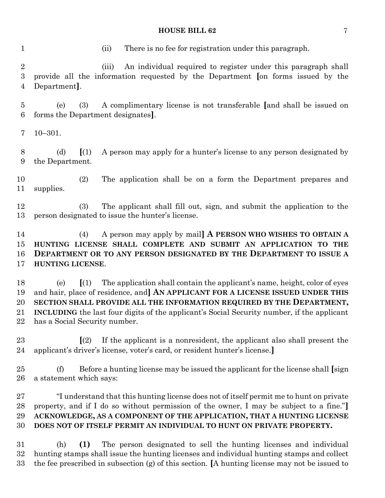(ii) There is no fee for registration under this paragraph.

 (iii) An individual required to register under this paragraph shall provide all the information requested by the Department **[**on forms issued by the Department**]**.

 (e) (3) A complimentary license is not transferable **[**and shall be issued on forms the Department designates**]**.

10–301.

 (d) **[**(1) A person may apply for a hunter's license to any person designated by the Department.

 (2) The application shall be on a form the Department prepares and supplies.

 (3) The applicant shall fill out, sign, and submit the application to the person designated to issue the hunter's license.

 (4) A person may apply by mail**] A PERSON WHO WISHES TO OBTAIN A HUNTING LICENSE SHALL COMPLETE AND SUBMIT AN APPLICATION TO THE DEPARTMENT OR TO ANY PERSON DESIGNATED BY THE DEPARTMENT TO ISSUE A HUNTING LICENSE**.

 (e) **[**(1) The application shall contain the applicant's name, height, color of eyes and hair, place of residence, and**] AN APPLICANT FOR A LICENSE ISSUED UNDER THIS SECTION SHALL PROVIDE ALL THE INFORMATION REQUIRED BY THE DEPARTMENT, INCLUDING** the last four digits of the applicant's Social Security number, if the applicant has a Social Security number.

 **[**(2) If the applicant is a nonresident, the applicant also shall present the applicant's driver's license, voter's card, or resident hunter's license.**]**

 (f) Before a hunting license may be issued the applicant for the license shall **[**sign a statement which says:

 "I understand that this hunting license does not of itself permit me to hunt on private property, and if I do so without permission of the owner, I may be subject to a fine."**] ACKNOWLEDGE, AS A COMPONENT OF THE APPLICATION, THAT A HUNTING LICENSE DOES NOT OF ITSELF PERMIT AN INDIVIDUAL TO HUNT ON PRIVATE PROPERTY.**

 (h) **(1)** The person designated to sell the hunting licenses and individual hunting stamps shall issue the hunting licenses and individual hunting stamps and collect the fee prescribed in subsection (g) of this section. **[**A hunting license may not be issued to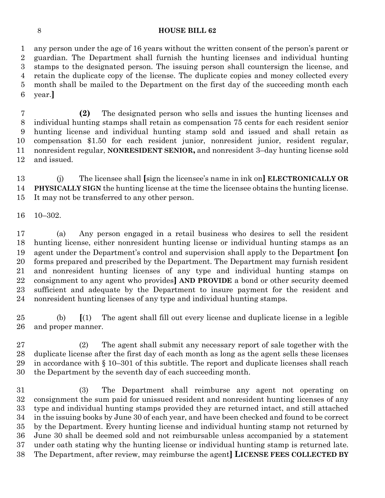any person under the age of 16 years without the written consent of the person's parent or guardian. The Department shall furnish the hunting licenses and individual hunting stamps to the designated person. The issuing person shall countersign the license, and retain the duplicate copy of the license. The duplicate copies and money collected every month shall be mailed to the Department on the first day of the succeeding month each year.**]**

 **(2)** The designated person who sells and issues the hunting licenses and individual hunting stamps shall retain as compensation 75 cents for each resident senior hunting license and individual hunting stamp sold and issued and shall retain as compensation \$1.50 for each resident junior, nonresident junior, resident regular, nonresident regular, **NONRESIDENT SENIOR,** and nonresident 3–day hunting license sold and issued.

 (j) The licensee shall **[**sign the licensee's name in ink on**] ELECTRONICALLY OR PHYSICALLY SIGN** the hunting license at the time the licensee obtains the hunting license. It may not be transferred to any other person.

10–302.

 (a) Any person engaged in a retail business who desires to sell the resident hunting license, either nonresident hunting license or individual hunting stamps as an agent under the Department's control and supervision shall apply to the Department **[**on forms prepared and prescribed by the Department. The Department may furnish resident and nonresident hunting licenses of any type and individual hunting stamps on consignment to any agent who provides**] AND PROVIDE** a bond or other security deemed sufficient and adequate by the Department to insure payment for the resident and nonresident hunting licenses of any type and individual hunting stamps.

 (b) **[**(1) The agent shall fill out every license and duplicate license in a legible and proper manner.

 (2) The agent shall submit any necessary report of sale together with the duplicate license after the first day of each month as long as the agent sells these licenses 29 in accordance with  $\S 10-301$  of this subtitle. The report and duplicate licenses shall reach the Department by the seventh day of each succeeding month.

 (3) The Department shall reimburse any agent not operating on consignment the sum paid for unissued resident and nonresident hunting licenses of any type and individual hunting stamps provided they are returned intact, and still attached in the issuing books by June 30 of each year, and have been checked and found to be correct by the Department. Every hunting license and individual hunting stamp not returned by June 30 shall be deemed sold and not reimbursable unless accompanied by a statement under oath stating why the hunting license or individual hunting stamp is returned late. The Department, after review, may reimburse the agent**] LICENSE FEES COLLECTED BY**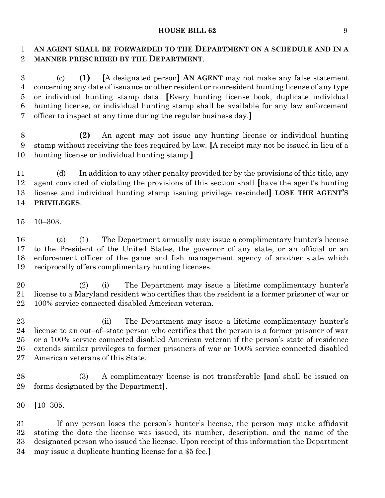# 1 AN AGENT SHALL BE FORWARDED TO THE DEPARTMENT ON A SCHEDULE AND IN A **MANNER PRESCRIBED BY THE DEPARTMENT**.

 (c) **(1) [**A designated person**] AN AGENT** may not make any false statement concerning any date of issuance or other resident or nonresident hunting license of any type or individual hunting stamp data. **[**Every hunting license book, duplicate individual hunting license, or individual hunting stamp shall be available for any law enforcement officer to inspect at any time during the regular business day.**]**

 **(2)** An agent may not issue any hunting license or individual hunting stamp without receiving the fees required by law. **[**A receipt may not be issued in lieu of a hunting license or individual hunting stamp.**]**

 (d) In addition to any other penalty provided for by the provisions of this title, any agent convicted of violating the provisions of this section shall **[**have the agent's hunting license and individual hunting stamp issuing privilege rescinded**] LOSE THE AGENT'S PRIVILEGES**.

10–303.

 (a) (1) The Department annually may issue a complimentary hunter's license to the President of the United States, the governor of any state, or an official or an enforcement officer of the game and fish management agency of another state which reciprocally offers complimentary hunting licenses.

 (2) (i) The Department may issue a lifetime complimentary hunter's license to a Maryland resident who certifies that the resident is a former prisoner of war or 100% service connected disabled American veteran.

 (ii) The Department may issue a lifetime complimentary hunter's license to an out–of–state person who certifies that the person is a former prisoner of war or a 100% service connected disabled American veteran if the person's state of residence extends similar privileges to former prisoners of war or 100% service connected disabled American veterans of this State.

 (3) A complimentary license is not transferable **[**and shall be issued on forms designated by the Department**]**.

**[**10–305.

 If any person loses the person's hunter's license, the person may make affidavit stating the date the license was issued, its number, description, and the name of the designated person who issued the license. Upon receipt of this information the Department may issue a duplicate hunting license for a \$5 fee.**]**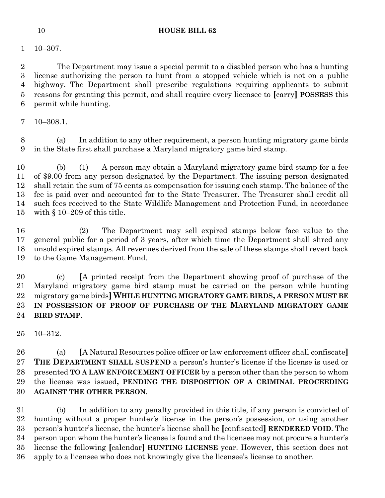10–307.

 The Department may issue a special permit to a disabled person who has a hunting license authorizing the person to hunt from a stopped vehicle which is not on a public highway. The Department shall prescribe regulations requiring applicants to submit reasons for granting this permit, and shall require every licensee to **[**carry**] POSSESS** this permit while hunting.

10–308.1.

 (a) In addition to any other requirement, a person hunting migratory game birds in the State first shall purchase a Maryland migratory game bird stamp.

 (b) (1) A person may obtain a Maryland migratory game bird stamp for a fee of \$9.00 from any person designated by the Department. The issuing person designated shall retain the sum of 75 cents as compensation for issuing each stamp. The balance of the fee is paid over and accounted for to the State Treasurer. The Treasurer shall credit all such fees received to the State Wildlife Management and Protection Fund, in accordance with § 10–209 of this title.

 (2) The Department may sell expired stamps below face value to the general public for a period of 3 years, after which time the Department shall shred any unsold expired stamps. All revenues derived from the sale of these stamps shall revert back to the Game Management Fund.

 (c) **[**A printed receipt from the Department showing proof of purchase of the Maryland migratory game bird stamp must be carried on the person while hunting migratory game birds**] WHILE HUNTING MIGRATORY GAME BIRDS, A PERSON MUST BE IN POSSESSION OF PROOF OF PURCHASE OF THE MARYLAND MIGRATORY GAME BIRD STAMP**.

10–312.

 (a) **[**A Natural Resources police officer or law enforcement officer shall confiscate**] THE DEPARTMENT SHALL SUSPEND** a person's hunter's license if the license is used or presented **TO A LAW ENFORCEMENT OFFICER** by a person other than the person to whom the license was issued**, PENDING THE DISPOSITION OF A CRIMINAL PROCEEDING AGAINST THE OTHER PERSON**.

 (b) In addition to any penalty provided in this title, if any person is convicted of hunting without a proper hunter's license in the person's possession, or using another person's hunter's license, the hunter's license shall be **[**confiscated**] RENDERED VOID**. The person upon whom the hunter's license is found and the licensee may not procure a hunter's license the following **[**calendar**] HUNTING LICENSE** year. However, this section does not apply to a licensee who does not knowingly give the licensee's license to another.